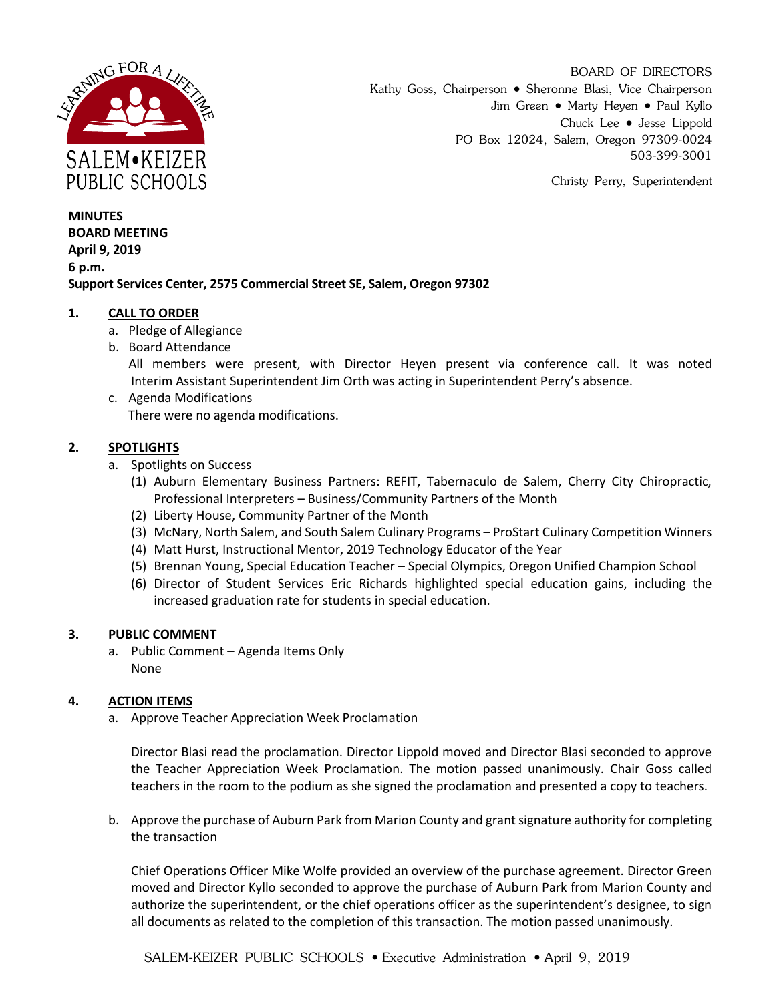

BOARD OF DIRECTORS Kathy Goss, Chairperson • Sheronne Blasi, Vice Chairperson Jim Green • Marty Heyen • Paul Kyllo Chuck Lee • Jesse Lippold PO Box 12024, Salem, Oregon 97309-0024 503-399-3001

Christy Perry, Superintendent

**MINUTES BOARD MEETING April 9, 2019 6 p.m. Support Services Center, 2575 Commercial Street SE, Salem, Oregon 97302**

## **1. CALL TO ORDER**

- a. Pledge of Allegiance
- b. Board Attendance

All members were present, with Director Heyen present via conference call. It was noted Interim Assistant Superintendent Jim Orth was acting in Superintendent Perry's absence.

c. Agenda Modifications There were no agenda modifications.

# **2. SPOTLIGHTS**

- a. Spotlights on Success
	- (1) Auburn Elementary Business Partners: REFIT, Tabernaculo de Salem, Cherry City Chiropractic, Professional Interpreters – Business/Community Partners of the Month
	- (2) Liberty House, Community Partner of the Month
	- (3) McNary, North Salem, and South Salem Culinary Programs ProStart Culinary Competition Winners
	- (4) Matt Hurst, Instructional Mentor, 2019 Technology Educator of the Year
	- (5) Brennan Young, Special Education Teacher Special Olympics, Oregon Unified Champion School
	- (6) Director of Student Services Eric Richards highlighted special education gains, including the increased graduation rate for students in special education.

## **3. PUBLIC COMMENT**

a. Public Comment – Agenda Items Only None

## **4. ACTION ITEMS**

a. Approve Teacher Appreciation Week Proclamation

Director Blasi read the proclamation. Director Lippold moved and Director Blasi seconded to approve the Teacher Appreciation Week Proclamation. The motion passed unanimously. Chair Goss called teachers in the room to the podium as she signed the proclamation and presented a copy to teachers.

b. Approve the purchase of Auburn Park from Marion County and grant signature authority for completing the transaction

Chief Operations Officer Mike Wolfe provided an overview of the purchase agreement. Director Green moved and Director Kyllo seconded to approve the purchase of Auburn Park from Marion County and authorize the superintendent, or the chief operations officer as the superintendent's designee, to sign all documents as related to the completion of this transaction. The motion passed unanimously.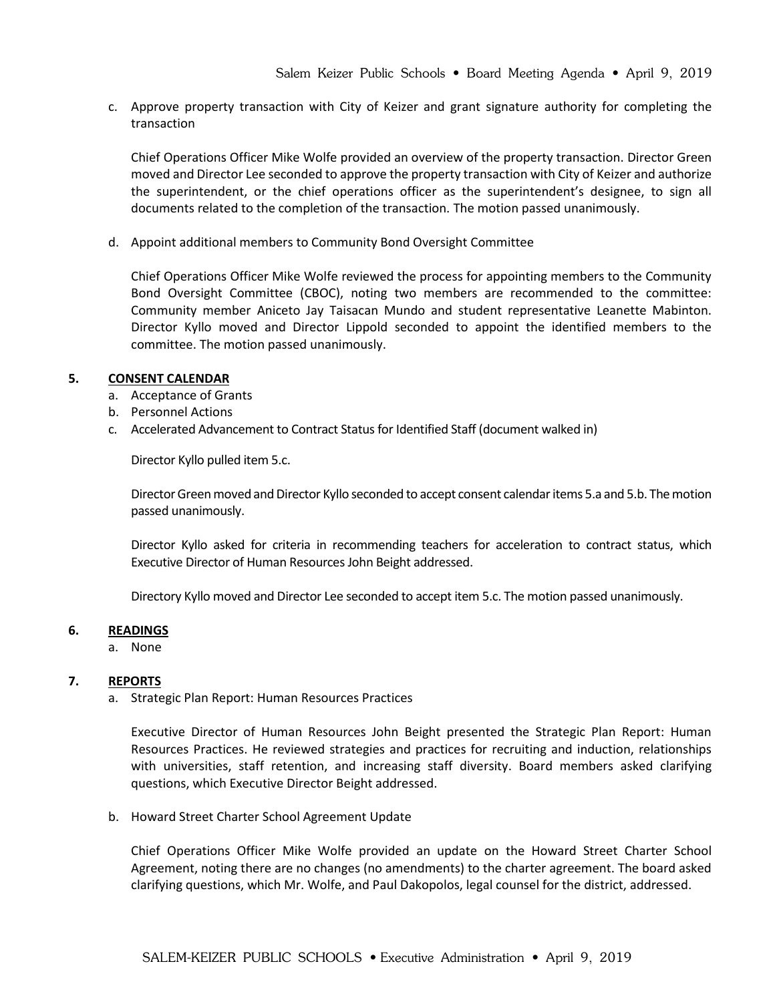c. Approve property transaction with City of Keizer and grant signature authority for completing the transaction

Chief Operations Officer Mike Wolfe provided an overview of the property transaction. Director Green moved and Director Lee seconded to approve the property transaction with City of Keizer and authorize the superintendent, or the chief operations officer as the superintendent's designee, to sign all documents related to the completion of the transaction. The motion passed unanimously.

d. Appoint additional members to Community Bond Oversight Committee

Chief Operations Officer Mike Wolfe reviewed the process for appointing members to the Community Bond Oversight Committee (CBOC), noting two members are recommended to the committee: Community member Aniceto Jay Taisacan Mundo and student representative Leanette Mabinton. Director Kyllo moved and Director Lippold seconded to appoint the identified members to the committee. The motion passed unanimously.

## **5. CONSENT CALENDAR**

- a. Acceptance of Grants
- b. Personnel Actions
- c. Accelerated Advancement to Contract Status for Identified Staff (document walked in)

Director Kyllo pulled item 5.c.

Director Green moved and Director Kyllo seconded to accept consent calendar items 5.a and 5.b. The motion passed unanimously.

Director Kyllo asked for criteria in recommending teachers for acceleration to contract status, which Executive Director of Human Resources John Beight addressed.

Directory Kyllo moved and Director Lee seconded to accept item 5.c. The motion passed unanimously.

#### **6. READINGS**

a. None

## **7. REPORTS**

a. Strategic Plan Report: Human Resources Practices

Executive Director of Human Resources John Beight presented the Strategic Plan Report: Human Resources Practices. He reviewed strategies and practices for recruiting and induction, relationships with universities, staff retention, and increasing staff diversity. Board members asked clarifying questions, which Executive Director Beight addressed.

b. Howard Street Charter School Agreement Update

Chief Operations Officer Mike Wolfe provided an update on the Howard Street Charter School Agreement, noting there are no changes (no amendments) to the charter agreement. The board asked clarifying questions, which Mr. Wolfe, and Paul Dakopolos, legal counsel for the district, addressed.